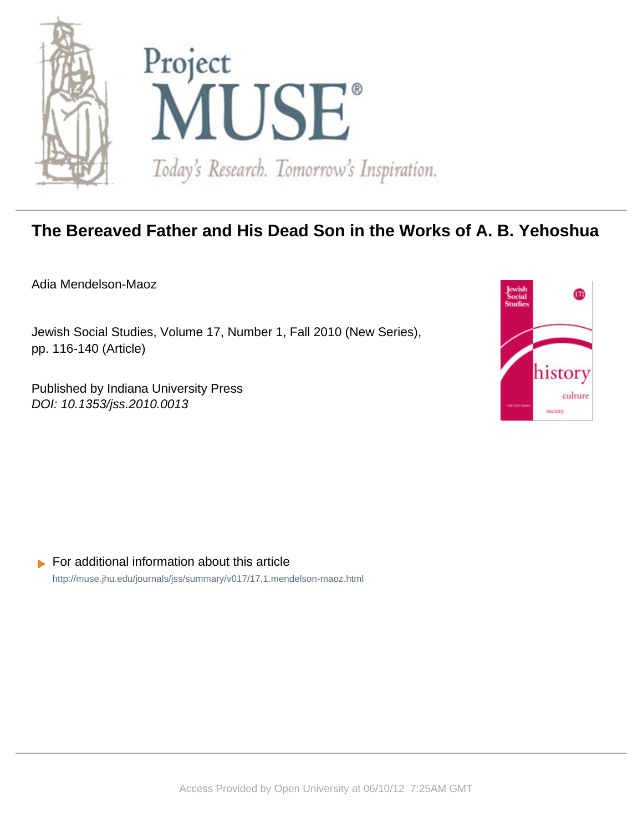

# **The Bereaved Father and His Dead Son in the Works of A. B. Yehoshua**

Adia Mendelson-Maoz

Jewish Social Studies, Volume 17, Number 1, Fall 2010 (New Series), pp. 116-140 (Article)

Published by Indiana University Press DOI: 10.1353/jss.2010.0013



 $\blacktriangleright$  For additional information about this article <http://muse.jhu.edu/journals/jss/summary/v017/17.1.mendelson-maoz.html>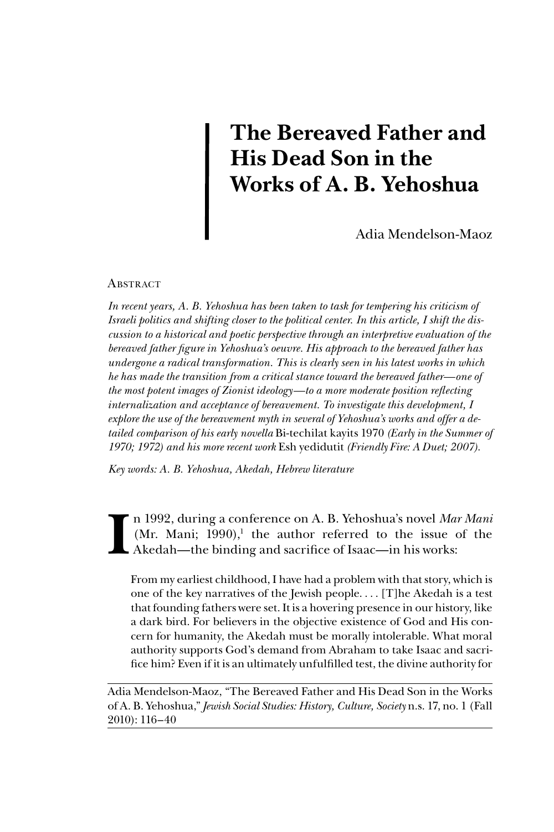# **The Bereaved Father and His Dead Son in the Works of A. B. Yehoshua**

Adia Mendelson-Maoz

#### **ABSTRACT**

*In recent years, A. B. Yehoshua has been taken to task for tempering his criticism of Israeli politics and shifting closer to the political center. In this article, I shift the discussion to a historical and poetic perspective through an interpretive evaluation of the bereaved father figure in Yehoshua's oeuvre. His approach to the bereaved father has undergone a radical transformation. This is clearly seen in his latest works in which he has made the transition from a critical stance toward the bereaved father—one of the most potent images of Zionist ideology—to a more moderate position reflecting internalization and acceptance of bereavement. To investigate this development, I explore the use of the bereavement myth in several of Yehoshua's works and offer a detailed comparison of his early novella* Bi-techilat kayits 1970 *(Early in the Summer of 1970; 1972) and his more recent work* Esh yedidutit *(Friendly Fire: A Duet; 2007).*

*Key words: A. B. Yehoshua, Akedah, Hebrew literature*

**I** n 1992, during a conference on A. B. Yehoshua's novel *Mar Mani*  $(Mr. Mani; 1990)<sup>1</sup>$  the author referred to the issue of the Akedah—the binding and sacrifice of Isaac—in his works:

From my earliest childhood, I have had a problem with that story, which is one of the key narratives of the Jewish people. . . . [T]he Akedah is a test that founding fathers were set. It is a hovering presence in our history, like a dark bird. For believers in the objective existence of God and His concern for humanity, the Akedah must be morally intolerable. What moral authority supports God's demand from Abraham to take Isaac and sacrifice him? Even if it is an ultimately unfulfilled test, the divine authority for

Adia Mendelson-Maoz, "The Bereaved Father and His Dead Son in the Works of A. B. Yehoshua," *Jewish Social Studies: History, Culture, Society* n.s. 17, no. 1 (Fall 2010): 116–40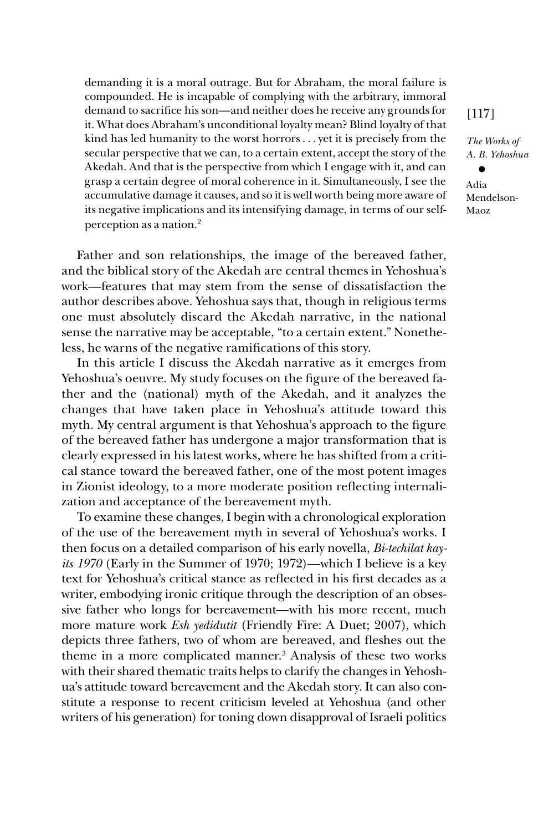demanding it is a moral outrage. But for Abraham, the moral failure is compounded. He is incapable of complying with the arbitrary, immoral demand to sacrifice his son—and neither does he receive any grounds for it. What does Abraham's unconditional loyalty mean? Blind loyalty of that kind has led humanity to the worst horrors . . . yet it is precisely from the secular perspective that we can, to a certain extent, accept the story of the Akedah. And that is the perspective from which I engage with it, and can grasp a certain degree of moral coherence in it. Simultaneously, I see the accumulative damage it causes, and so it is well worth being more aware of its negative implications and its intensifying damage, in terms of our selfperception as a nation.2

Father and son relationships, the image of the bereaved father, and the biblical story of the Akedah are central themes in Yehoshua's work—features that may stem from the sense of dissatisfaction the author describes above. Yehoshua says that, though in religious terms one must absolutely discard the Akedah narrative, in the national sense the narrative may be acceptable, "to a certain extent." Nonetheless, he warns of the negative ramifications of this story.

In this article I discuss the Akedah narrative as it emerges from Yehoshua's oeuvre. My study focuses on the figure of the bereaved father and the (national) myth of the Akedah, and it analyzes the changes that have taken place in Yehoshua's attitude toward this myth. My central argument is that Yehoshua's approach to the figure of the bereaved father has undergone a major transformation that is clearly expressed in his latest works, where he has shifted from a critical stance toward the bereaved father, one of the most potent images in Zionist ideology, to a more moderate position reflecting internalization and acceptance of the bereavement myth.

To examine these changes, I begin with a chronological exploration of the use of the bereavement myth in several of Yehoshua's works. I then focus on a detailed comparison of his early novella, *Bi-techilat kayits 1970* (Early in the Summer of 1970; 1972)—which I believe is a key text for Yehoshua's critical stance as reflected in his first decades as a writer, embodying ironic critique through the description of an obsessive father who longs for bereavement—with his more recent, much more mature work *Esh yedidutit* (Friendly Fire: A Duet; 2007), which depicts three fathers, two of whom are bereaved, and fleshes out the theme in a more complicated manner.3 Analysis of these two works with their shared thematic traits helps to clarify the changes in Yehoshua's attitude toward bereavement and the Akedah story. It can also constitute a response to recent criticism leveled at Yehoshua (and other writers of his generation) for toning down disapproval of Israeli politics

[117]

*The Works of A. B. Yehoshua*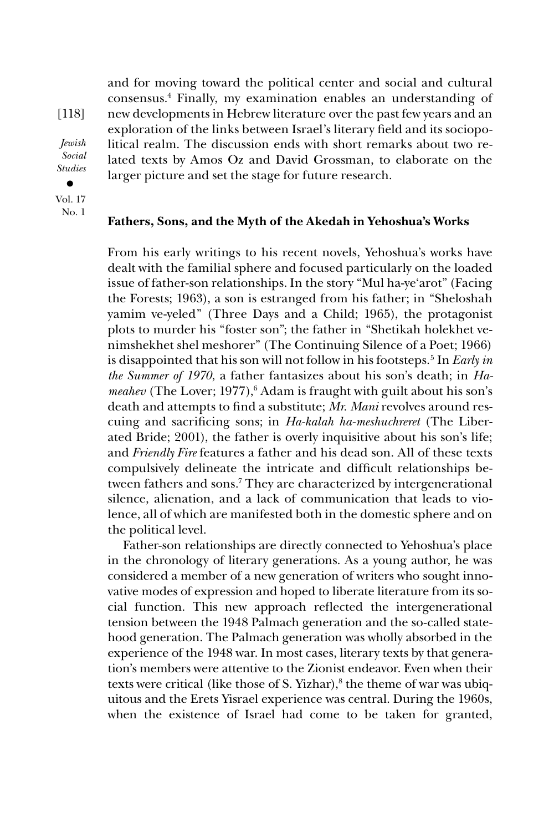and for moving toward the political center and social and cultural consensus.4 Finally, my examination enables an understanding of new developments in Hebrew literature over the past few years and an exploration of the links between Israel's literary field and its sociopolitical realm. The discussion ends with short remarks about two related texts by Amos Oz and David Grossman, to elaborate on the larger picture and set the stage for future research.

• Vol. 17 No. 1

[118]

*Jewish Social Studies*

#### **Fathers, Sons, and the Myth of the Akedah in Yehoshua's Works**

From his early writings to his recent novels, Yehoshua's works have dealt with the familial sphere and focused particularly on the loaded issue of father-son relationships. In the story "Mul ha-ye'arot" (Facing the Forests; 1963), a son is estranged from his father; in "Sheloshah yamim ve-yeled" (Three Days and a Child; 1965), the protagonist plots to murder his "foster son"; the father in "Shetikah holekhet venimshekhet shel meshorer" (The Continuing Silence of a Poet; 1966) is disappointed that his son will not follow in his footsteps.5 In *Early in the Summer of 1970*, a father fantasizes about his son's death; in *Ha*meahev (The Lover; 1977),<sup>6</sup> Adam is fraught with guilt about his son's death and attempts to find a substitute; *Mr. Mani* revolves around rescuing and sacrificing sons; in *Ha-kalah ha-meshuchreret* (The Liberated Bride; 2001), the father is overly inquisitive about his son's life; and *Friendly Fire* features a father and his dead son. All of these texts compulsively delineate the intricate and difficult relationships between fathers and sons.<sup>7</sup> They are characterized by intergenerational silence, alienation, and a lack of communication that leads to violence, all of which are manifested both in the domestic sphere and on the political level.

Father-son relationships are directly connected to Yehoshua's place in the chronology of literary generations. As a young author, he was considered a member of a new generation of writers who sought innovative modes of expression and hoped to liberate literature from its social function. This new approach reflected the intergenerational tension between the 1948 Palmach generation and the so-called statehood generation. The Palmach generation was wholly absorbed in the experience of the 1948 war. In most cases, literary texts by that generation's members were attentive to the Zionist endeavor. Even when their texts were critical (like those of S. Yizhar), $8$  the theme of war was ubiquitous and the Erets Yisrael experience was central. During the 1960s, when the existence of Israel had come to be taken for granted,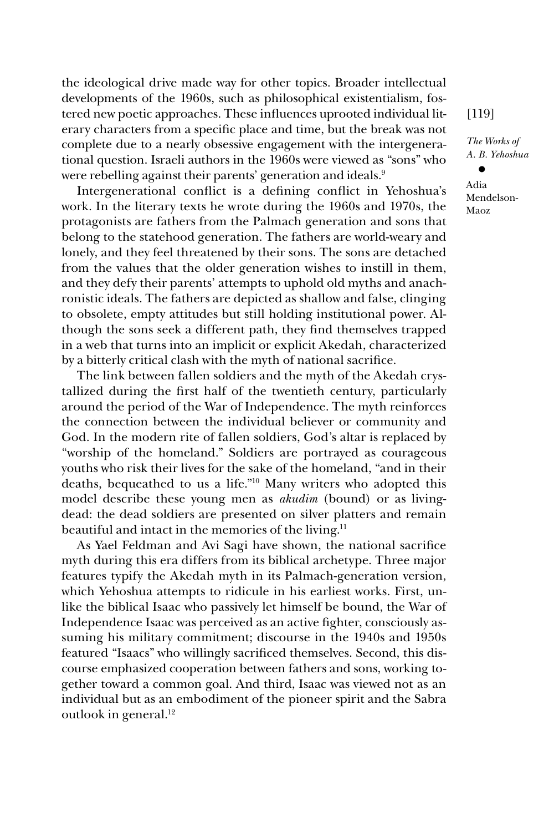the ideological drive made way for other topics. Broader intellectual developments of the 1960s, such as philosophical existentialism, fostered new poetic approaches. These influences uprooted individual literary characters from a specific place and time, but the break was not complete due to a nearly obsessive engagement with the intergenerational question. Israeli authors in the 1960s were viewed as "sons" who were rebelling against their parents' generation and ideals.<sup>9</sup>

Intergenerational conflict is a defining conflict in Yehoshua's work. In the literary texts he wrote during the 1960s and 1970s, the protagonists are fathers from the Palmach generation and sons that belong to the statehood generation. The fathers are world-weary and lonely, and they feel threatened by their sons. The sons are detached from the values that the older generation wishes to instill in them, and they defy their parents' attempts to uphold old myths and anachronistic ideals. The fathers are depicted as shallow and false, clinging to obsolete, empty attitudes but still holding institutional power. Although the sons seek a different path, they find themselves trapped in a web that turns into an implicit or explicit Akedah, characterized by a bitterly critical clash with the myth of national sacrifice.

The link between fallen soldiers and the myth of the Akedah crystallized during the first half of the twentieth century, particularly around the period of the War of Independence. The myth reinforces the connection between the individual believer or community and God. In the modern rite of fallen soldiers, God's altar is replaced by "worship of the homeland." Soldiers are portrayed as courageous youths who risk their lives for the sake of the homeland, "and in their deaths, bequeathed to us a life."10 Many writers who adopted this model describe these young men as *akudim* (bound) or as livingdead: the dead soldiers are presented on silver platters and remain beautiful and intact in the memories of the living.<sup>11</sup>

As Yael Feldman and Avi Sagi have shown, the national sacrifice myth during this era differs from its biblical archetype. Three major features typify the Akedah myth in its Palmach-generation version, which Yehoshua attempts to ridicule in his earliest works. First, unlike the biblical Isaac who passively let himself be bound, the War of Independence Isaac was perceived as an active fighter, consciously assuming his military commitment; discourse in the 1940s and 1950s featured "Isaacs" who willingly sacrificed themselves. Second, this discourse emphasized cooperation between fathers and sons, working together toward a common goal. And third, Isaac was viewed not as an individual but as an embodiment of the pioneer spirit and the Sabra outlook in general.12

[119]

*The Works of A. B. Yehoshua*

•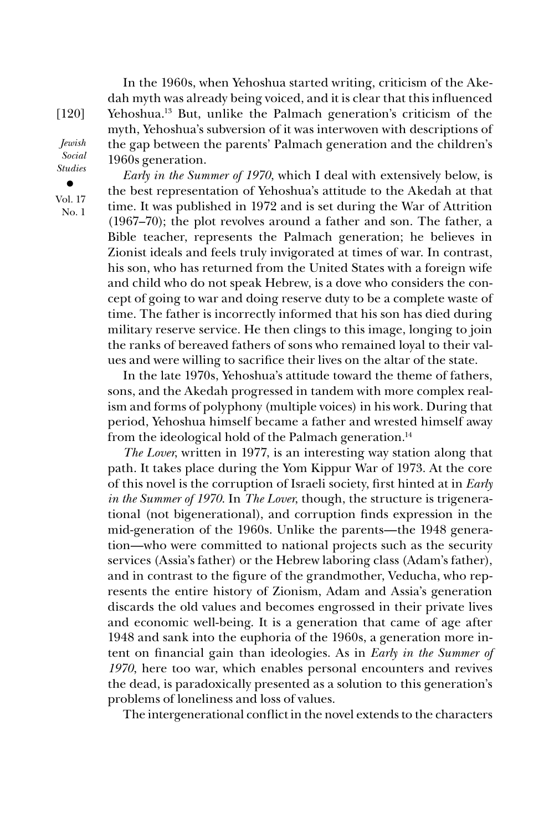In the 1960s, when Yehoshua started writing, criticism of the Akedah myth was already being voiced, and it is clear that this influenced Yehoshua.13 But, unlike the Palmach generation's criticism of the myth, Yehoshua's subversion of it was interwoven with descriptions of the gap between the parents' Palmach generation and the children's 1960s generation.

*Early in the Summer of 1970*, which I deal with extensively below, is the best representation of Yehoshua's attitude to the Akedah at that time. It was published in 1972 and is set during the War of Attrition (1967–70); the plot revolves around a father and son. The father, a Bible teacher, represents the Palmach generation; he believes in Zionist ideals and feels truly invigorated at times of war. In contrast, his son, who has returned from the United States with a foreign wife and child who do not speak Hebrew, is a dove who considers the concept of going to war and doing reserve duty to be a complete waste of time. The father is incorrectly informed that his son has died during military reserve service. He then clings to this image, longing to join the ranks of bereaved fathers of sons who remained loyal to their values and were willing to sacrifice their lives on the altar of the state.

In the late 1970s, Yehoshua's attitude toward the theme of fathers, sons, and the Akedah progressed in tandem with more complex realism and forms of polyphony (multiple voices) in his work. During that period, Yehoshua himself became a father and wrested himself away from the ideological hold of the Palmach generation.<sup>14</sup>

*The Lover*, written in 1977, is an interesting way station along that path. It takes place during the Yom Kippur War of 1973. At the core of this novel is the corruption of Israeli society, first hinted at in *Early in the Summer of 1970*. In *The Lover*, though, the structure is trigenerational (not bigenerational), and corruption finds expression in the mid-generation of the 1960s. Unlike the parents—the 1948 generation—who were committed to national projects such as the security services (Assia's father) or the Hebrew laboring class (Adam's father), and in contrast to the figure of the grandmother, Veducha, who represents the entire history of Zionism, Adam and Assia's generation discards the old values and becomes engrossed in their private lives and economic well-being. It is a generation that came of age after 1948 and sank into the euphoria of the 1960s, a generation more intent on financial gain than ideologies. As in *Early in the Summer of 1970*, here too war, which enables personal encounters and revives the dead, is paradoxically presented as a solution to this generation's problems of loneliness and loss of values.

The intergenerational conflict in the novel extends to the characters

[120]

*Jewish Social Studies*

• Vol. 17 No. 1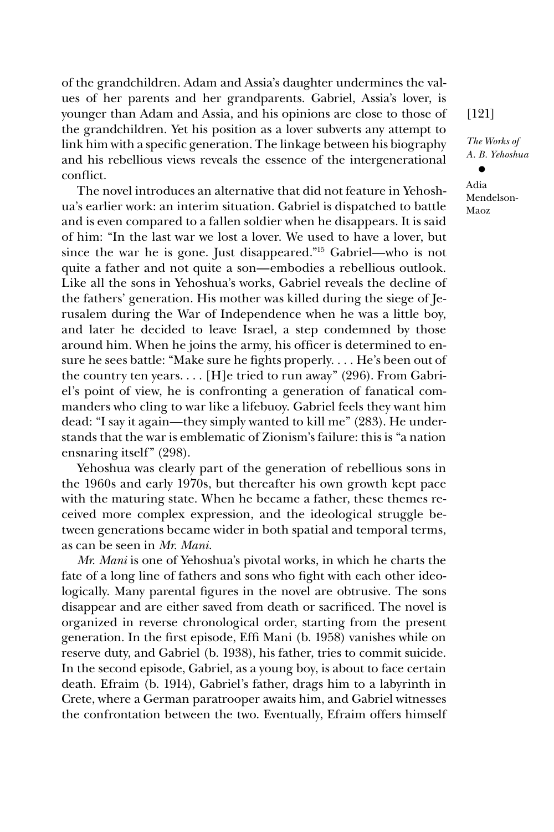of the grandchildren. Adam and Assia's daughter undermines the values of her parents and her grandparents. Gabriel, Assia's lover, is younger than Adam and Assia, and his opinions are close to those of the grandchildren. Yet his position as a lover subverts any attempt to link him with a specific generation. The linkage between his biography and his rebellious views reveals the essence of the intergenerational conflict.

The novel introduces an alternative that did not feature in Yehoshua's earlier work: an interim situation. Gabriel is dispatched to battle and is even compared to a fallen soldier when he disappears. It is said of him: "In the last war we lost a lover. We used to have a lover, but since the war he is gone. Just disappeared."15 Gabriel—who is not quite a father and not quite a son—embodies a rebellious outlook. Like all the sons in Yehoshua's works, Gabriel reveals the decline of the fathers' generation. His mother was killed during the siege of Jerusalem during the War of Independence when he was a little boy, and later he decided to leave Israel, a step condemned by those around him. When he joins the army, his officer is determined to ensure he sees battle: "Make sure he fights properly. . . . He's been out of the country ten years. . . . [H]e tried to run away" (296). From Gabriel's point of view, he is confronting a generation of fanatical commanders who cling to war like a lifebuoy. Gabriel feels they want him dead: "I say it again—they simply wanted to kill me" (283). He understands that the war is emblematic of Zionism's failure: this is "a nation ensnaring itself" (298).

Yehoshua was clearly part of the generation of rebellious sons in the 1960s and early 1970s, but thereafter his own growth kept pace with the maturing state. When he became a father, these themes received more complex expression, and the ideological struggle between generations became wider in both spatial and temporal terms, as can be seen in *Mr. Mani*.

*Mr. Mani* is one of Yehoshua's pivotal works, in which he charts the fate of a long line of fathers and sons who fight with each other ideologically. Many parental figures in the novel are obtrusive. The sons disappear and are either saved from death or sacrificed. The novel is organized in reverse chronological order, starting from the present generation. In the first episode, Effi Mani (b. 1958) vanishes while on reserve duty, and Gabriel (b. 1938), his father, tries to commit suicide. In the second episode, Gabriel, as a young boy, is about to face certain death. Efraim (b. 1914), Gabriel's father, drags him to a labyrinth in Crete, where a German paratrooper awaits him, and Gabriel witnesses the confrontation between the two. Eventually, Efraim offers himself [121]

*The Works of A. B. Yehoshua*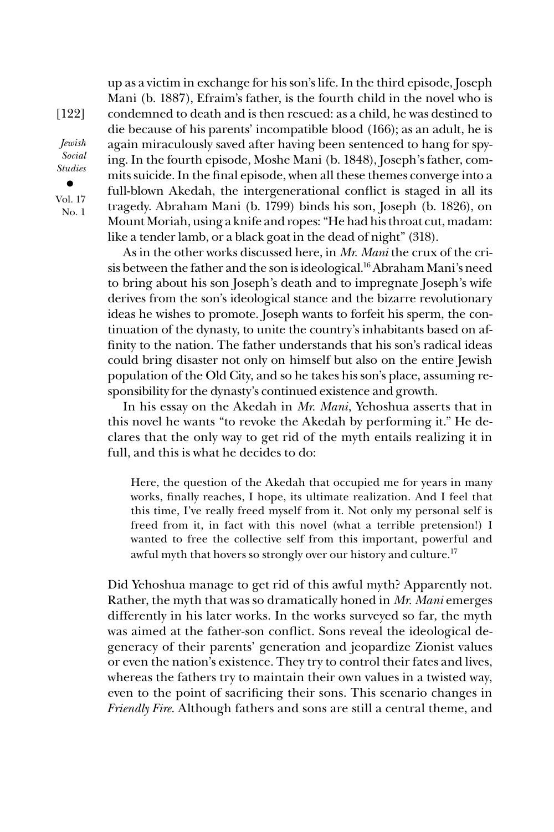up as a victim in exchange for his son's life. In the third episode, Joseph Mani (b. 1887), Efraim's father, is the fourth child in the novel who is condemned to death and is then rescued: as a child, he was destined to die because of his parents' incompatible blood (166); as an adult, he is again miraculously saved after having been sentenced to hang for spying. In the fourth episode, Moshe Mani (b. 1848), Joseph's father, commits suicide. In the final episode, when all these themes converge into a full-blown Akedah, the intergenerational conflict is staged in all its tragedy. Abraham Mani (b. 1799) binds his son, Joseph (b. 1826), on Mount Moriah, using a knife and ropes: "He had his throat cut, madam: like a tender lamb, or a black goat in the dead of night" (318).

As in the other works discussed here, in *Mr. Mani* the crux of the crisis between the father and the son is ideological.16 Abraham Mani's need to bring about his son Joseph's death and to impregnate Joseph's wife derives from the son's ideological stance and the bizarre revolutionary ideas he wishes to promote. Joseph wants to forfeit his sperm, the continuation of the dynasty, to unite the country's inhabitants based on affinity to the nation. The father understands that his son's radical ideas could bring disaster not only on himself but also on the entire Jewish population of the Old City, and so he takes his son's place, assuming responsibility for the dynasty's continued existence and growth.

In his essay on the Akedah in *Mr. Mani*, Yehoshua asserts that in this novel he wants "to revoke the Akedah by performing it." He declares that the only way to get rid of the myth entails realizing it in full, and this is what he decides to do:

Here, the question of the Akedah that occupied me for years in many works, finally reaches, I hope, its ultimate realization. And I feel that this time, I've really freed myself from it. Not only my personal self is freed from it, in fact with this novel (what a terrible pretension!) I wanted to free the collective self from this important, powerful and awful myth that hovers so strongly over our history and culture.<sup>17</sup>

Did Yehoshua manage to get rid of this awful myth? Apparently not. Rather, the myth that was so dramatically honed in *Mr. Mani* emerges differently in his later works. In the works surveyed so far, the myth was aimed at the father-son conflict. Sons reveal the ideological degeneracy of their parents' generation and jeopardize Zionist values or even the nation's existence. They try to control their fates and lives, whereas the fathers try to maintain their own values in a twisted way, even to the point of sacrificing their sons. This scenario changes in *Friendly Fire*. Although fathers and sons are still a central theme, and

[122]

*Jewish Social Studies* •

Vol. 17 No. 1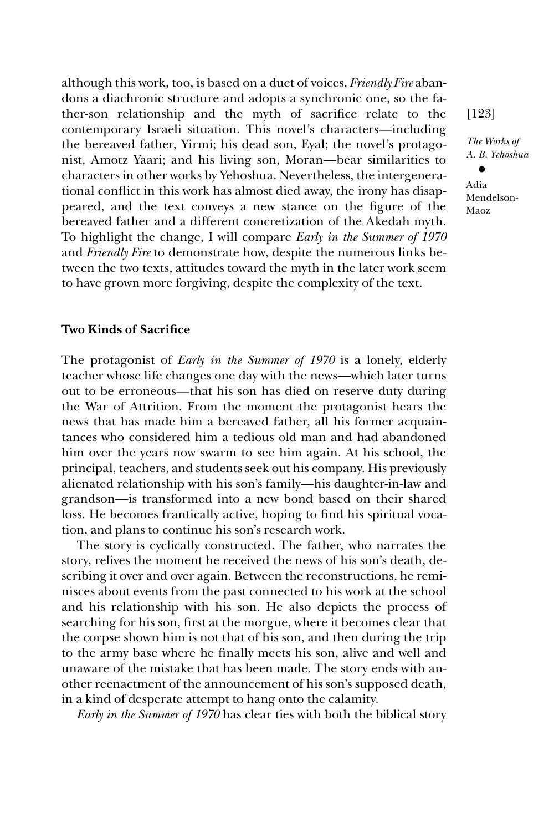although this work, too, is based on a duet of voices, *Friendly Fire* abandons a diachronic structure and adopts a synchronic one, so the father-son relationship and the myth of sacrifice relate to the contemporary Israeli situation. This novel's characters—including the bereaved father, Yirmi; his dead son, Eyal; the novel's protagonist, Amotz Yaari; and his living son, Moran—bear similarities to characters in other works by Yehoshua. Nevertheless, the intergenerational conflict in this work has almost died away, the irony has disappeared, and the text conveys a new stance on the figure of the bereaved father and a different concretization of the Akedah myth. To highlight the change, I will compare *Early in the Summer of 1970* and *Friendly Fire* to demonstrate how, despite the numerous links between the two texts, attitudes toward the myth in the later work seem to have grown more forgiving, despite the complexity of the text.

### **Two Kinds of Sacrifice**

The protagonist of *Early in the Summer of 1970* is a lonely, elderly teacher whose life changes one day with the news—which later turns out to be erroneous—that his son has died on reserve duty during the War of Attrition. From the moment the protagonist hears the news that has made him a bereaved father, all his former acquaintances who considered him a tedious old man and had abandoned him over the years now swarm to see him again. At his school, the principal, teachers, and students seek out his company. His previously alienated relationship with his son's family—his daughter-in-law and grandson—is transformed into a new bond based on their shared loss. He becomes frantically active, hoping to find his spiritual vocation, and plans to continue his son's research work.

The story is cyclically constructed. The father, who narrates the story, relives the moment he received the news of his son's death, describing it over and over again. Between the reconstructions, he reminisces about events from the past connected to his work at the school and his relationship with his son. He also depicts the process of searching for his son, first at the morgue, where it becomes clear that the corpse shown him is not that of his son, and then during the trip to the army base where he finally meets his son, alive and well and unaware of the mistake that has been made. The story ends with another reenactment of the announcement of his son's supposed death, in a kind of desperate attempt to hang onto the calamity.

*Early in the Summer of 1970* has clear ties with both the biblical story

[123]

*The Works of A. B. Yehoshua*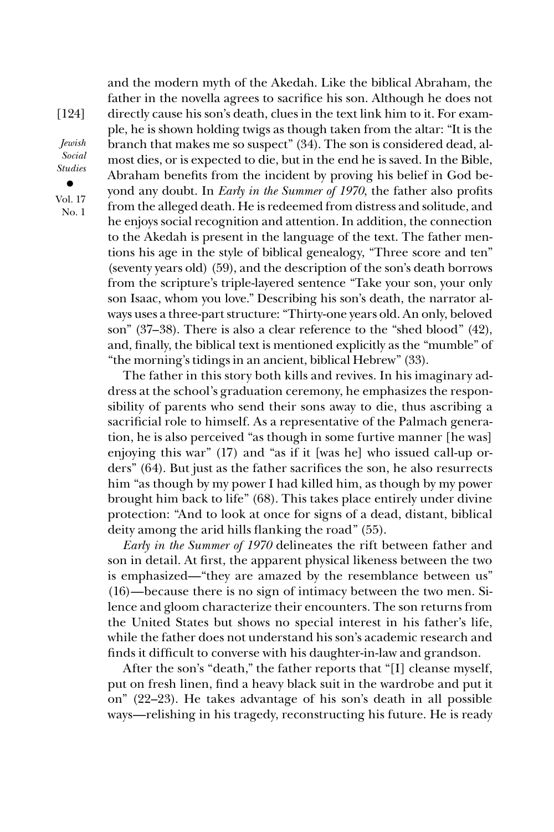*Jewish Social Studies* •

[124]

Vol. 17 No. 1

and the modern myth of the Akedah. Like the biblical Abraham, the father in the novella agrees to sacrifice his son. Although he does not directly cause his son's death, clues in the text link him to it. For example, he is shown holding twigs as though taken from the altar: "It is the branch that makes me so suspect" (34). The son is considered dead, almost dies, or is expected to die, but in the end he is saved. In the Bible, Abraham benefits from the incident by proving his belief in God beyond any doubt. In *Early in the Summer of 1970*, the father also profits from the alleged death. He is redeemed from distress and solitude, and he enjoys social recognition and attention. In addition, the connection to the Akedah is present in the language of the text. The father mentions his age in the style of biblical genealogy, "Three score and ten" (seventy years old) (59), and the description of the son's death borrows from the scripture's triple-layered sentence "Take your son, your only son Isaac, whom you love." Describing his son's death, the narrator always uses a three-part structure: "Thirty-one years old. An only, beloved son" (37–38). There is also a clear reference to the "shed blood" (42), and, finally, the biblical text is mentioned explicitly as the "mumble" of "the morning's tidings in an ancient, biblical Hebrew" (33).

The father in this story both kills and revives. In his imaginary address at the school's graduation ceremony, he emphasizes the responsibility of parents who send their sons away to die, thus ascribing a sacrificial role to himself. As a representative of the Palmach generation, he is also perceived "as though in some furtive manner [he was] enjoying this war" (17) and "as if it [was he] who issued call-up orders" (64). But just as the father sacrifices the son, he also resurrects him "as though by my power I had killed him, as though by my power brought him back to life" (68). This takes place entirely under divine protection: "And to look at once for signs of a dead, distant, biblical deity among the arid hills flanking the road" (55).

*Early in the Summer of 1970* delineates the rift between father and son in detail. At first, the apparent physical likeness between the two is emphasized—"they are amazed by the resemblance between us" (16)—because there is no sign of intimacy between the two men. Silence and gloom characterize their encounters. The son returns from the United States but shows no special interest in his father's life, while the father does not understand his son's academic research and finds it difficult to converse with his daughter-in-law and grandson.

After the son's "death," the father reports that "[I] cleanse myself, put on fresh linen, find a heavy black suit in the wardrobe and put it on" (22–23). He takes advantage of his son's death in all possible ways—relishing in his tragedy, reconstructing his future. He is ready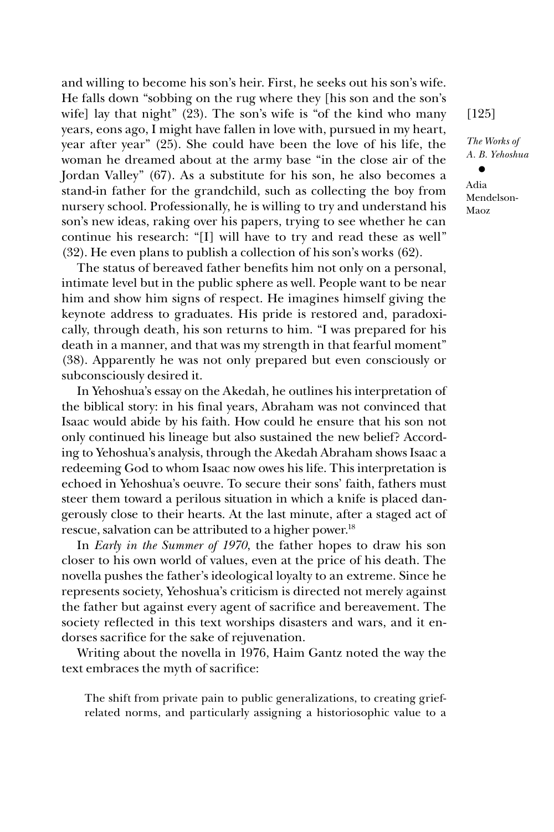and willing to become his son's heir. First, he seeks out his son's wife. He falls down "sobbing on the rug where they [his son and the son's wife] lay that night" (23). The son's wife is "of the kind who many years, eons ago, I might have fallen in love with, pursued in my heart, year after year" (25). She could have been the love of his life, the woman he dreamed about at the army base "in the close air of the Jordan Valley" (67). As a substitute for his son, he also becomes a stand-in father for the grandchild, such as collecting the boy from nursery school. Professionally, he is willing to try and understand his son's new ideas, raking over his papers, trying to see whether he can continue his research: "[I] will have to try and read these as well" (32). He even plans to publish a collection of his son's works (62).

The status of bereaved father benefits him not only on a personal, intimate level but in the public sphere as well. People want to be near him and show him signs of respect. He imagines himself giving the keynote address to graduates. His pride is restored and, paradoxically, through death, his son returns to him. "I was prepared for his death in a manner, and that was my strength in that fearful moment" (38). Apparently he was not only prepared but even consciously or subconsciously desired it.

In Yehoshua's essay on the Akedah, he outlines his interpretation of the biblical story: in his final years, Abraham was not convinced that Isaac would abide by his faith. How could he ensure that his son not only continued his lineage but also sustained the new belief? According to Yehoshua's analysis, through the Akedah Abraham shows Isaac a redeeming God to whom Isaac now owes his life. This interpretation is echoed in Yehoshua's oeuvre. To secure their sons' faith, fathers must steer them toward a perilous situation in which a knife is placed dangerously close to their hearts. At the last minute, after a staged act of rescue, salvation can be attributed to a higher power.<sup>18</sup>

In *Early in the Summer of 1970*, the father hopes to draw his son closer to his own world of values, even at the price of his death. The novella pushes the father's ideological loyalty to an extreme. Since he represents society, Yehoshua's criticism is directed not merely against the father but against every agent of sacrifice and bereavement. The society reflected in this text worships disasters and wars, and it endorses sacrifice for the sake of rejuvenation.

Writing about the novella in 1976, Haim Gantz noted the way the text embraces the myth of sacrifice:

The shift from private pain to public generalizations, to creating griefrelated norms, and particularly assigning a historiosophic value to a [125]

*The Works of A. B. Yehoshua*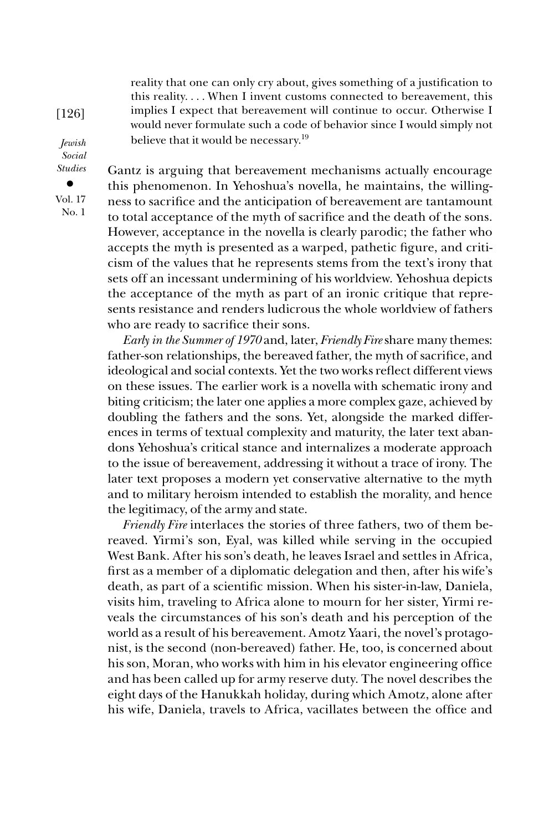reality that one can only cry about, gives something of a justification to this reality. . . . When I invent customs connected to bereavement, this implies I expect that bereavement will continue to occur. Otherwise I would never formulate such a code of behavior since I would simply not believe that it would be necessary.<sup>19</sup>

*Jewish Social Studies*

[126]

• Vol. 17 No. 1

Gantz is arguing that bereavement mechanisms actually encourage this phenomenon. In Yehoshua's novella, he maintains, the willingness to sacrifice and the anticipation of bereavement are tantamount to total acceptance of the myth of sacrifice and the death of the sons. However, acceptance in the novella is clearly parodic; the father who accepts the myth is presented as a warped, pathetic figure, and criticism of the values that he represents stems from the text's irony that sets off an incessant undermining of his worldview. Yehoshua depicts the acceptance of the myth as part of an ironic critique that represents resistance and renders ludicrous the whole worldview of fathers who are ready to sacrifice their sons.

*Early in the Summer of 1970* and, later, *Friendly Fire* share many themes: father-son relationships, the bereaved father, the myth of sacrifice, and ideological and social contexts. Yet the two works reflect different views on these issues. The earlier work is a novella with schematic irony and biting criticism; the later one applies a more complex gaze, achieved by doubling the fathers and the sons. Yet, alongside the marked differences in terms of textual complexity and maturity, the later text abandons Yehoshua's critical stance and internalizes a moderate approach to the issue of bereavement, addressing it without a trace of irony. The later text proposes a modern yet conservative alternative to the myth and to military heroism intended to establish the morality, and hence the legitimacy, of the army and state.

*Friendly Fire* interlaces the stories of three fathers, two of them bereaved. Yirmi's son, Eyal, was killed while serving in the occupied West Bank. After his son's death, he leaves Israel and settles in Africa, first as a member of a diplomatic delegation and then, after his wife's death, as part of a scientific mission. When his sister-in-law, Daniela, visits him, traveling to Africa alone to mourn for her sister, Yirmi reveals the circumstances of his son's death and his perception of the world as a result of his bereavement. Amotz Yaari, the novel's protagonist, is the second (non-bereaved) father. He, too, is concerned about his son, Moran, who works with him in his elevator engineering office and has been called up for army reserve duty. The novel describes the eight days of the Hanukkah holiday, during which Amotz, alone after his wife, Daniela, travels to Africa, vacillates between the office and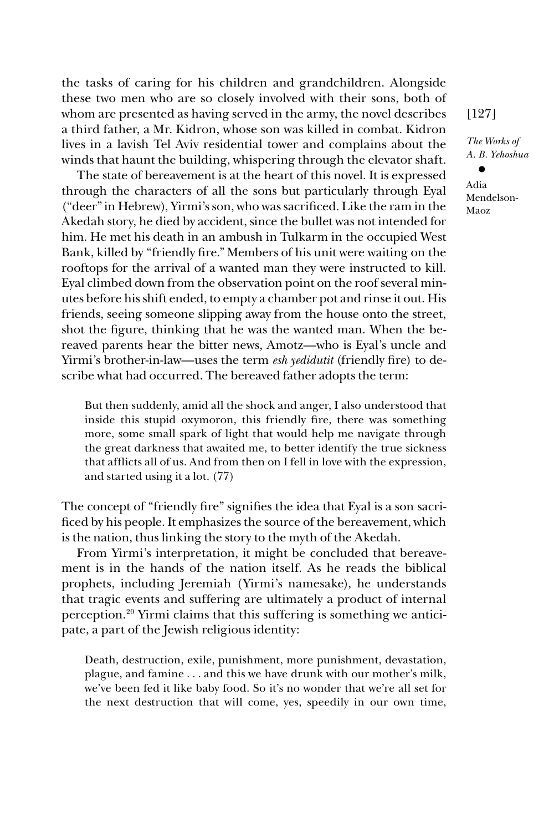the tasks of caring for his children and grandchildren. Alongside these two men who are so closely involved with their sons, both of whom are presented as having served in the army, the novel describes a third father, a Mr. Kidron, whose son was killed in combat. Kidron lives in a lavish Tel Aviv residential tower and complains about the winds that haunt the building, whispering through the elevator shaft.

The state of bereavement is at the heart of this novel. It is expressed through the characters of all the sons but particularly through Eyal ("deer" in Hebrew), Yirmi's son, who was sacrificed. Like the ram in the Akedah story, he died by accident, since the bullet was not intended for him. He met his death in an ambush in Tulkarm in the occupied West Bank, killed by "friendly fire." Members of his unit were waiting on the rooftops for the arrival of a wanted man they were instructed to kill. Eyal climbed down from the observation point on the roof several minutes before his shift ended, to empty a chamber pot and rinse it out. His friends, seeing someone slipping away from the house onto the street, shot the figure, thinking that he was the wanted man. When the bereaved parents hear the bitter news, Amotz—who is Eyal's uncle and Yirmi's brother-in-law—uses the term *esh yedidutit* (friendly fire) to describe what had occurred. The bereaved father adopts the term:

But then suddenly, amid all the shock and anger, I also understood that inside this stupid oxymoron, this friendly fire, there was something more, some small spark of light that would help me navigate through the great darkness that awaited me, to better identify the true sickness that afflicts all of us. And from then on I fell in love with the expression, and started using it a lot. (77)

The concept of "friendly fire" signifies the idea that Eyal is a son sacrificed by his people. It emphasizes the source of the bereavement, which is the nation, thus linking the story to the myth of the Akedah.

From Yirmi's interpretation, it might be concluded that bereavement is in the hands of the nation itself. As he reads the biblical prophets, including Jeremiah (Yirmi's namesake), he understands that tragic events and suffering are ultimately a product of internal perception.20 Yirmi claims that this suffering is something we anticipate, a part of the Jewish religious identity:

Death, destruction, exile, punishment, more punishment, devastation, plague, and famine . . . and this we have drunk with our mother's milk, we've been fed it like baby food. So it's no wonder that we're all set for the next destruction that will come, yes, speedily in our own time,

[127]

*The Works of A. B. Yehoshua*

• Adia Mendelson-

Maoz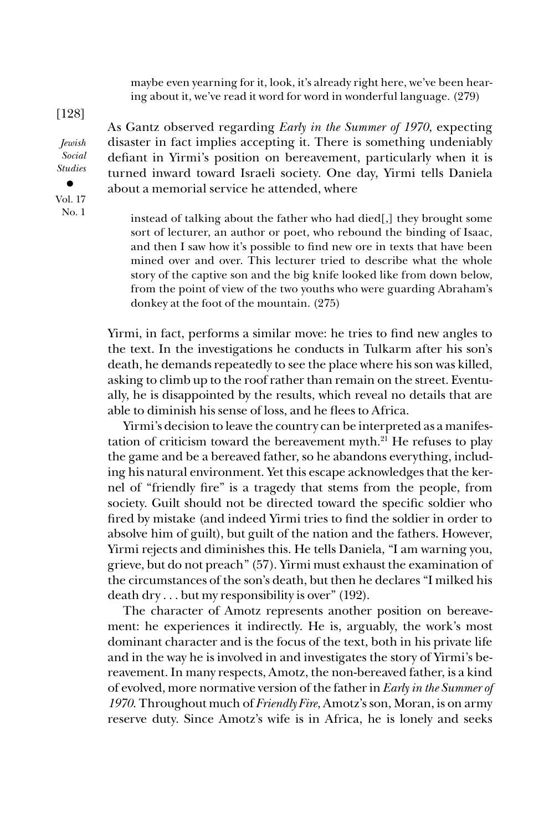maybe even yearning for it, look, it's already right here, we've been hearing about it, we've read it word for word in wonderful language. (279)

As Gantz observed regarding *Early in the Summer of 1970*, expecting disaster in fact implies accepting it. There is something undeniably defiant in Yirmi's position on bereavement, particularly when it is turned inward toward Israeli society. One day, Yirmi tells Daniela about a memorial service he attended, where

instead of talking about the father who had died[,] they brought some sort of lecturer, an author or poet, who rebound the binding of Isaac, and then I saw how it's possible to find new ore in texts that have been mined over and over. This lecturer tried to describe what the whole story of the captive son and the big knife looked like from down below, from the point of view of the two youths who were guarding Abraham's donkey at the foot of the mountain. (275)

Yirmi, in fact, performs a similar move: he tries to find new angles to the text. In the investigations he conducts in Tulkarm after his son's death, he demands repeatedly to see the place where his son was killed, asking to climb up to the roof rather than remain on the street. Eventually, he is disappointed by the results, which reveal no details that are able to diminish his sense of loss, and he flees to Africa.

Yirmi's decision to leave the country can be interpreted as a manifestation of criticism toward the bereavement myth. $2\overline{1}$  He refuses to play the game and be a bereaved father, so he abandons everything, including his natural environment. Yet this escape acknowledges that the kernel of "friendly fire" is a tragedy that stems from the people, from society. Guilt should not be directed toward the specific soldier who fired by mistake (and indeed Yirmi tries to find the soldier in order to absolve him of guilt), but guilt of the nation and the fathers. However, Yirmi rejects and diminishes this. He tells Daniela, "I am warning you, grieve, but do not preach" (57). Yirmi must exhaust the examination of the circumstances of the son's death, but then he declares "I milked his death dry . . . but my responsibility is over" (192).

The character of Amotz represents another position on bereavement: he experiences it indirectly. He is, arguably, the work's most dominant character and is the focus of the text, both in his private life and in the way he is involved in and investigates the story of Yirmi's bereavement. In many respects, Amotz, the non-bereaved father, is a kind of evolved, more normative version of the father in *Early in the Summer of 1970*. Throughout much of *Friendly Fire*, Amotz's son, Moran, is on army reserve duty. Since Amotz's wife is in Africa, he is lonely and seeks

#### [128]

*Jewish Social Studies*

• Vol. 17 No. 1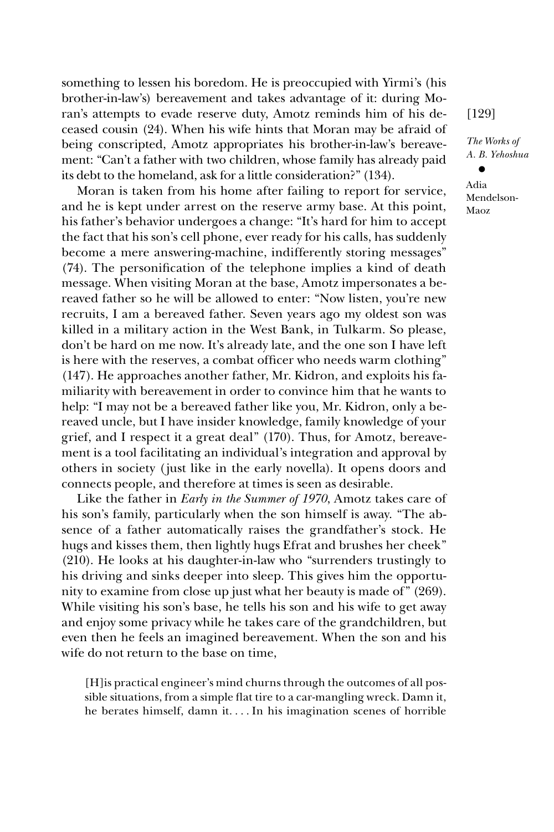something to lessen his boredom. He is preoccupied with Yirmi's (his brother-in-law's) bereavement and takes advantage of it: during Moran's attempts to evade reserve duty, Amotz reminds him of his deceased cousin (24). When his wife hints that Moran may be afraid of being conscripted, Amotz appropriates his brother-in-law's bereavement: "Can't a father with two children, whose family has already paid its debt to the homeland, ask for a little consideration?" (134).

Moran is taken from his home after failing to report for service, and he is kept under arrest on the reserve army base. At this point, his father's behavior undergoes a change: "It's hard for him to accept the fact that his son's cell phone, ever ready for his calls, has suddenly become a mere answering-machine, indifferently storing messages" (74). The personification of the telephone implies a kind of death message. When visiting Moran at the base, Amotz impersonates a bereaved father so he will be allowed to enter: "Now listen, you're new recruits, I am a bereaved father. Seven years ago my oldest son was killed in a military action in the West Bank, in Tulkarm. So please, don't be hard on me now. It's already late, and the one son I have left is here with the reserves, a combat officer who needs warm clothing" (147). He approaches another father, Mr. Kidron, and exploits his familiarity with bereavement in order to convince him that he wants to help: "I may not be a bereaved father like you, Mr. Kidron, only a bereaved uncle, but I have insider knowledge, family knowledge of your grief, and I respect it a great deal" (170). Thus, for Amotz, bereavement is a tool facilitating an individual's integration and approval by others in society (just like in the early novella). It opens doors and connects people, and therefore at times is seen as desirable.

Like the father in *Early in the Summer of 1970*, Amotz takes care of his son's family, particularly when the son himself is away. "The absence of a father automatically raises the grandfather's stock. He hugs and kisses them, then lightly hugs Efrat and brushes her cheek" (210). He looks at his daughter-in-law who "surrenders trustingly to his driving and sinks deeper into sleep. This gives him the opportunity to examine from close up just what her beauty is made of" (269). While visiting his son's base, he tells his son and his wife to get away and enjoy some privacy while he takes care of the grandchildren, but even then he feels an imagined bereavement. When the son and his wife do not return to the base on time,

[H]is practical engineer's mind churns through the outcomes of all possible situations, from a simple flat tire to a car-mangling wreck. Damn it, he berates himself, damn it. . . . In his imagination scenes of horrible [129]

*The Works of A. B. Yehoshua*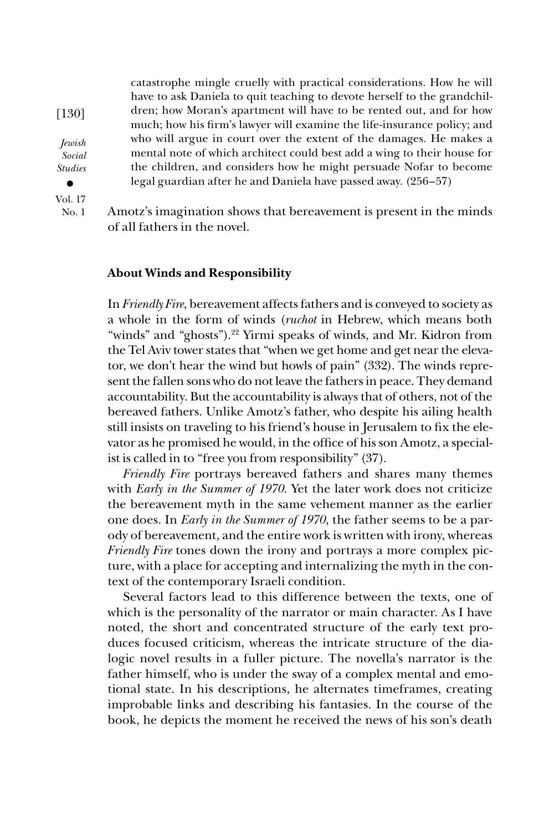*Jewish Social Studies*

[130]

• Vol. 17 No. 1

catastrophe mingle cruelly with practical considerations. How he will have to ask Daniela to quit teaching to devote herself to the grandchildren; how Moran's apartment will have to be rented out, and for how much; how his firm's lawyer will examine the life-insurance policy; and who will argue in court over the extent of the damages. He makes a mental note of which architect could best add a wing to their house for the children, and considers how he might persuade Nofar to become legal guardian after he and Daniela have passed away. (256–57)

Amotz's imagination shows that bereavement is present in the minds of all fathers in the novel.

### **About Winds and Responsibility**

In *Friendly Fire*, bereavement affects fathers and is conveyed to society as a whole in the form of winds (*ruchot* in Hebrew, which means both "winds" and "ghosts").<sup>22</sup> Yirmi speaks of winds, and Mr. Kidron from the Tel Aviv tower states that "when we get home and get near the elevator, we don't hear the wind but howls of pain" (332). The winds represent the fallen sons who do not leave the fathers in peace. They demand accountability. But the accountability is always that of others, not of the bereaved fathers. Unlike Amotz's father, who despite his ailing health still insists on traveling to his friend's house in Jerusalem to fix the elevator as he promised he would, in the office of his son Amotz, a specialist is called in to "free you from responsibility" (37).

*Friendly Fire* portrays bereaved fathers and shares many themes with *Early in the Summer of 1970*. Yet the later work does not criticize the bereavement myth in the same vehement manner as the earlier one does. In *Early in the Summer of 1970*, the father seems to be a parody of bereavement, and the entire work is written with irony, whereas *Friendly Fire* tones down the irony and portrays a more complex picture, with a place for accepting and internalizing the myth in the context of the contemporary Israeli condition.

Several factors lead to this difference between the texts, one of which is the personality of the narrator or main character. As I have noted, the short and concentrated structure of the early text produces focused criticism, whereas the intricate structure of the dialogic novel results in a fuller picture. The novella's narrator is the father himself, who is under the sway of a complex mental and emotional state. In his descriptions, he alternates timeframes, creating improbable links and describing his fantasies. In the course of the book, he depicts the moment he received the news of his son's death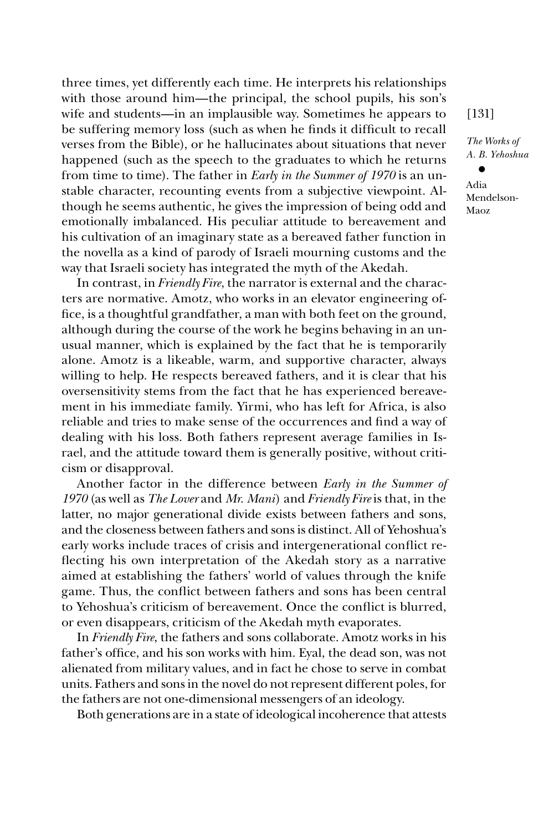three times, yet differently each time. He interprets his relationships with those around him—the principal, the school pupils, his son's wife and students—in an implausible way. Sometimes he appears to be suffering memory loss (such as when he finds it difficult to recall verses from the Bible), or he hallucinates about situations that never happened (such as the speech to the graduates to which he returns from time to time). The father in *Early in the Summer of 1970* is an unstable character, recounting events from a subjective viewpoint. Although he seems authentic, he gives the impression of being odd and emotionally imbalanced. His peculiar attitude to bereavement and his cultivation of an imaginary state as a bereaved father function in the novella as a kind of parody of Israeli mourning customs and the way that Israeli society has integrated the myth of the Akedah.

In contrast, in *Friendly Fire*, the narrator is external and the characters are normative. Amotz, who works in an elevator engineering office, is a thoughtful grandfather, a man with both feet on the ground, although during the course of the work he begins behaving in an unusual manner, which is explained by the fact that he is temporarily alone. Amotz is a likeable, warm, and supportive character, always willing to help. He respects bereaved fathers, and it is clear that his oversensitivity stems from the fact that he has experienced bereavement in his immediate family. Yirmi, who has left for Africa, is also reliable and tries to make sense of the occurrences and find a way of dealing with his loss. Both fathers represent average families in Israel, and the attitude toward them is generally positive, without criticism or disapproval.

Another factor in the difference between *Early in the Summer of 1970* (as well as *The Lover* and *Mr. Mani*) and *Friendly Fire* is that, in the latter, no major generational divide exists between fathers and sons, and the closeness between fathers and sons is distinct. All of Yehoshua's early works include traces of crisis and intergenerational conflict reflecting his own interpretation of the Akedah story as a narrative aimed at establishing the fathers' world of values through the knife game. Thus, the conflict between fathers and sons has been central to Yehoshua's criticism of bereavement. Once the conflict is blurred, or even disappears, criticism of the Akedah myth evaporates.

In *Friendly Fire*, the fathers and sons collaborate. Amotz works in his father's office, and his son works with him. Eyal, the dead son, was not alienated from military values, and in fact he chose to serve in combat units. Fathers and sons in the novel do not represent different poles, for the fathers are not one-dimensional messengers of an ideology.

Both generations are in a state of ideological incoherence that attests

[131]

*The Works of A. B. Yehoshua*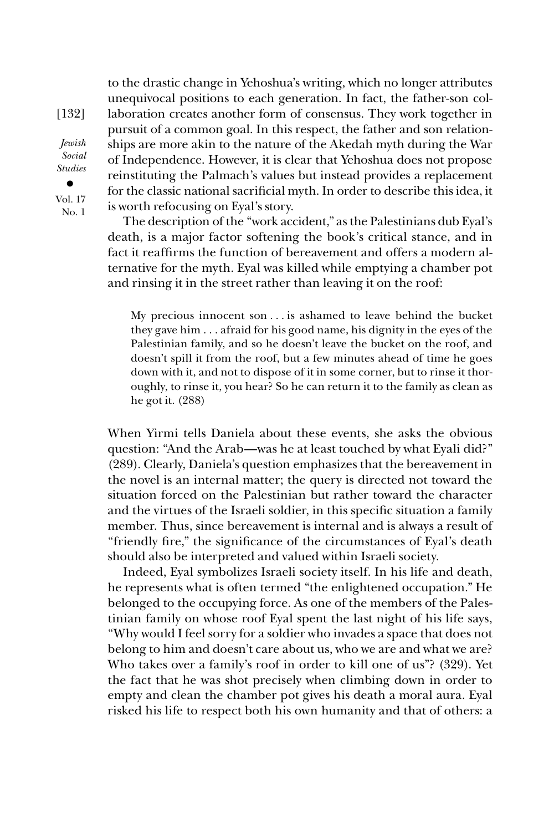to the drastic change in Yehoshua's writing, which no longer attributes unequivocal positions to each generation. In fact, the father-son collaboration creates another form of consensus. They work together in pursuit of a common goal. In this respect, the father and son relationships are more akin to the nature of the Akedah myth during the War of Independence. However, it is clear that Yehoshua does not propose reinstituting the Palmach's values but instead provides a replacement for the classic national sacrificial myth. In order to describe this idea, it is worth refocusing on Eyal's story.

The description of the "work accident," as the Palestinians dub Eyal's death, is a major factor softening the book's critical stance, and in fact it reaffirms the function of bereavement and offers a modern alternative for the myth. Eyal was killed while emptying a chamber pot and rinsing it in the street rather than leaving it on the roof:

My precious innocent son . . . is ashamed to leave behind the bucket they gave him . . . afraid for his good name, his dignity in the eyes of the Palestinian family, and so he doesn't leave the bucket on the roof, and doesn't spill it from the roof, but a few minutes ahead of time he goes down with it, and not to dispose of it in some corner, but to rinse it thoroughly, to rinse it, you hear? So he can return it to the family as clean as he got it. (288)

When Yirmi tells Daniela about these events, she asks the obvious question: "And the Arab—was he at least touched by what Eyali did?" (289). Clearly, Daniela's question emphasizes that the bereavement in the novel is an internal matter; the query is directed not toward the situation forced on the Palestinian but rather toward the character and the virtues of the Israeli soldier, in this specific situation a family member. Thus, since bereavement is internal and is always a result of "friendly fire," the significance of the circumstances of Eyal's death should also be interpreted and valued within Israeli society.

Indeed, Eyal symbolizes Israeli society itself. In his life and death, he represents what is often termed "the enlightened occupation." He belonged to the occupying force. As one of the members of the Palestinian family on whose roof Eyal spent the last night of his life says, "Why would I feel sorry for a soldier who invades a space that does not belong to him and doesn't care about us, who we are and what we are? Who takes over a family's roof in order to kill one of us"? (329). Yet the fact that he was shot precisely when climbing down in order to empty and clean the chamber pot gives his death a moral aura. Eyal risked his life to respect both his own humanity and that of others: a

[132]

*Jewish Social Studies* •

Vol. 17 No. 1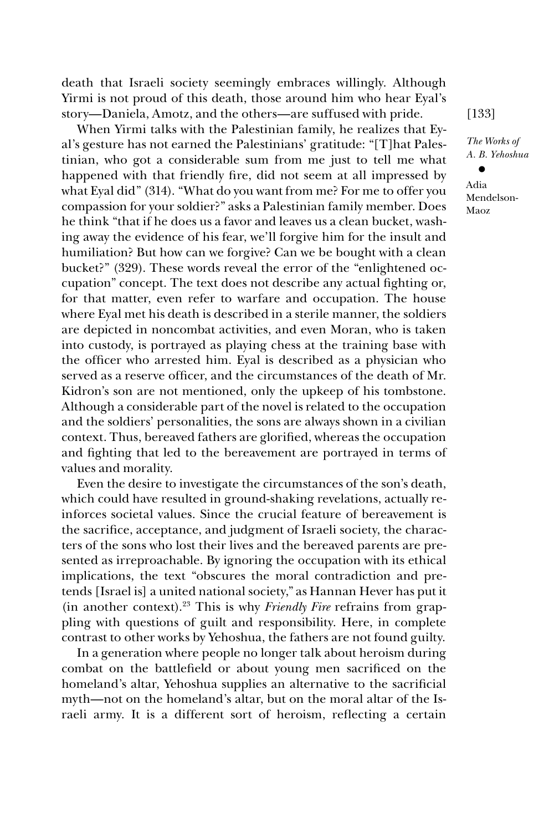death that Israeli society seemingly embraces willingly. Although Yirmi is not proud of this death, those around him who hear Eyal's story—Daniela, Amotz, and the others—are suffused with pride.

When Yirmi talks with the Palestinian family, he realizes that Eyal's gesture has not earned the Palestinians' gratitude: "[T]hat Palestinian, who got a considerable sum from me just to tell me what happened with that friendly fire, did not seem at all impressed by what Eyal did" (314). "What do you want from me? For me to offer you compassion for your soldier?" asks a Palestinian family member. Does he think "that if he does us a favor and leaves us a clean bucket, washing away the evidence of his fear, we'll forgive him for the insult and humiliation? But how can we forgive? Can we be bought with a clean bucket?" (329). These words reveal the error of the "enlightened occupation" concept. The text does not describe any actual fighting or, for that matter, even refer to warfare and occupation. The house where Eyal met his death is described in a sterile manner, the soldiers are depicted in noncombat activities, and even Moran, who is taken into custody, is portrayed as playing chess at the training base with the officer who arrested him. Eyal is described as a physician who served as a reserve officer, and the circumstances of the death of Mr. Kidron's son are not mentioned, only the upkeep of his tombstone. Although a considerable part of the novel is related to the occupation and the soldiers' personalities, the sons are always shown in a civilian context. Thus, bereaved fathers are glorified, whereas the occupation and fighting that led to the bereavement are portrayed in terms of values and morality.

Even the desire to investigate the circumstances of the son's death, which could have resulted in ground-shaking revelations, actually reinforces societal values. Since the crucial feature of bereavement is the sacrifice, acceptance, and judgment of Israeli society, the characters of the sons who lost their lives and the bereaved parents are presented as irreproachable. By ignoring the occupation with its ethical implications, the text "obscures the moral contradiction and pretends [Israel is] a united national society," as Hannan Hever has put it (in another context).23 This is why *Friendly Fire* refrains from grappling with questions of guilt and responsibility. Here, in complete contrast to other works by Yehoshua, the fathers are not found guilty.

In a generation where people no longer talk about heroism during combat on the battlefield or about young men sacrificed on the homeland's altar, Yehoshua supplies an alternative to the sacrificial myth—not on the homeland's altar, but on the moral altar of the Israeli army. It is a different sort of heroism, reflecting a certain

[133]

*The Works of A. B. Yehoshua*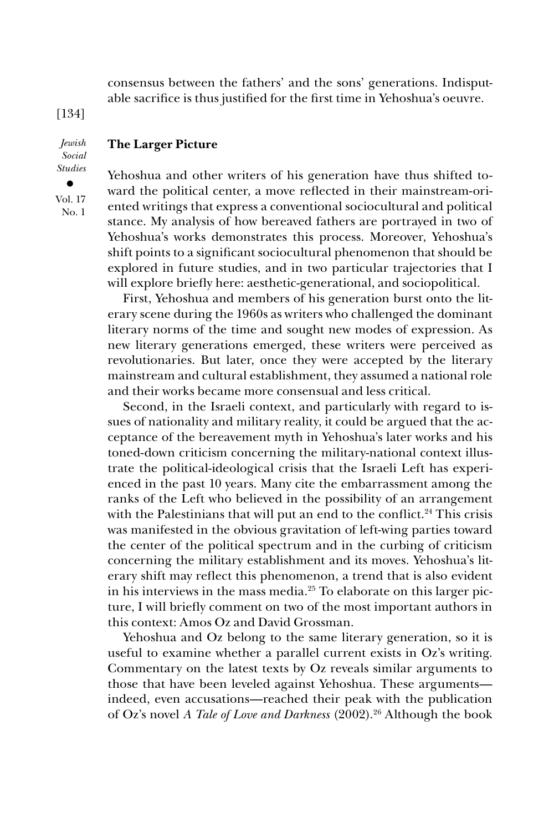consensus between the fathers' and the sons' generations. Indisputable sacrifice is thus justified for the first time in Yehoshua's oeuvre.

[134]

**The Larger Picture**

*Jewish Social Studies*

• Vol. 17 No. 1

Yehoshua and other writers of his generation have thus shifted toward the political center, a move reflected in their mainstream-oriented writings that express a conventional sociocultural and political stance. My analysis of how bereaved fathers are portrayed in two of Yehoshua's works demonstrates this process. Moreover, Yehoshua's shift points to a significant sociocultural phenomenon that should be explored in future studies, and in two particular trajectories that I will explore briefly here: aesthetic-generational, and sociopolitical.

First, Yehoshua and members of his generation burst onto the literary scene during the 1960s as writers who challenged the dominant literary norms of the time and sought new modes of expression. As new literary generations emerged, these writers were perceived as revolutionaries. But later, once they were accepted by the literary mainstream and cultural establishment, they assumed a national role and their works became more consensual and less critical.

Second, in the Israeli context, and particularly with regard to issues of nationality and military reality, it could be argued that the acceptance of the bereavement myth in Yehoshua's later works and his toned-down criticism concerning the military-national context illustrate the political-ideological crisis that the Israeli Left has experienced in the past 10 years. Many cite the embarrassment among the ranks of the Left who believed in the possibility of an arrangement with the Palestinians that will put an end to the conflict.<sup>24</sup> This crisis was manifested in the obvious gravitation of left-wing parties toward the center of the political spectrum and in the curbing of criticism concerning the military establishment and its moves. Yehoshua's literary shift may reflect this phenomenon, a trend that is also evident in his interviews in the mass media.25 To elaborate on this larger picture, I will briefly comment on two of the most important authors in this context: Amos Oz and David Grossman.

Yehoshua and Oz belong to the same literary generation, so it is useful to examine whether a parallel current exists in Oz's writing. Commentary on the latest texts by Oz reveals similar arguments to those that have been leveled against Yehoshua. These arguments indeed, even accusations—reached their peak with the publication of Oz's novel *A Tale of Love and Darkness* (2002).26 Although the book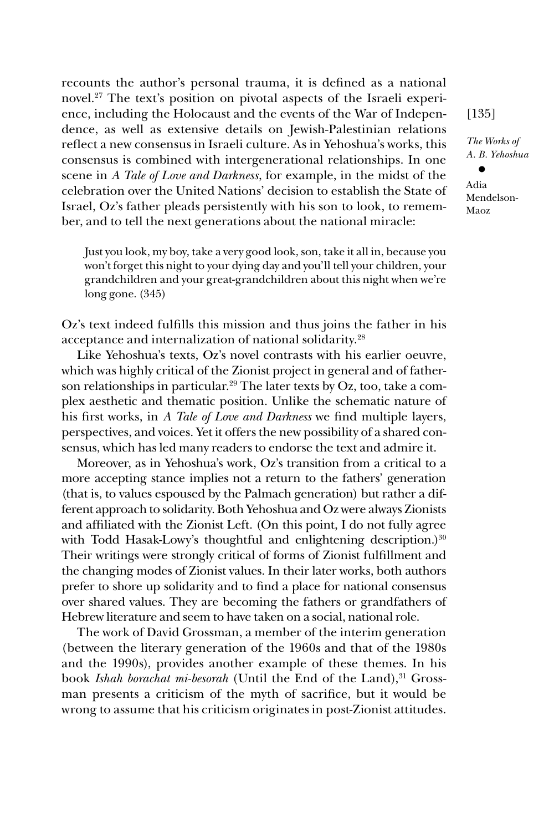recounts the author's personal trauma, it is defined as a national novel.27 The text's position on pivotal aspects of the Israeli experience, including the Holocaust and the events of the War of Independence, as well as extensive details on Jewish-Palestinian relations reflect a new consensus in Israeli culture. As in Yehoshua's works, this consensus is combined with intergenerational relationships. In one scene in *A Tale of Love and Darkness*, for example, in the midst of the celebration over the United Nations' decision to establish the State of Israel, Oz's father pleads persistently with his son to look, to remember, and to tell the next generations about the national miracle:

Just you look, my boy, take a very good look, son, take it all in, because you won't forget this night to your dying day and you'll tell your children, your grandchildren and your great-grandchildren about this night when we're long gone. (345)

Oz's text indeed fulfills this mission and thus joins the father in his acceptance and internalization of national solidarity.28

Like Yehoshua's texts, Oz's novel contrasts with his earlier oeuvre, which was highly critical of the Zionist project in general and of fatherson relationships in particular.<sup>29</sup> The later texts by Oz, too, take a complex aesthetic and thematic position. Unlike the schematic nature of his first works, in *A Tale of Love and Darkness* we find multiple layers, perspectives, and voices. Yet it offers the new possibility of a shared consensus, which has led many readers to endorse the text and admire it.

Moreover, as in Yehoshua's work, Oz's transition from a critical to a more accepting stance implies not a return to the fathers' generation (that is, to values espoused by the Palmach generation) but rather a different approach to solidarity. Both Yehoshua and Oz were always Zionists and affiliated with the Zionist Left. (On this point, I do not fully agree with Todd Hasak-Lowy's thoughtful and enlightening description.)<sup>30</sup> Their writings were strongly critical of forms of Zionist fulfillment and the changing modes of Zionist values. In their later works, both authors prefer to shore up solidarity and to find a place for national consensus over shared values. They are becoming the fathers or grandfathers of Hebrew literature and seem to have taken on a social, national role.

The work of David Grossman, a member of the interim generation (between the literary generation of the 1960s and that of the 1980s and the 1990s), provides another example of these themes. In his book *Ishah borachat mi-besorah* (Until the End of the Land),<sup>31</sup> Grossman presents a criticism of the myth of sacrifice, but it would be wrong to assume that his criticism originates in post-Zionist attitudes.

[135]

*The Works of A. B. Yehoshua*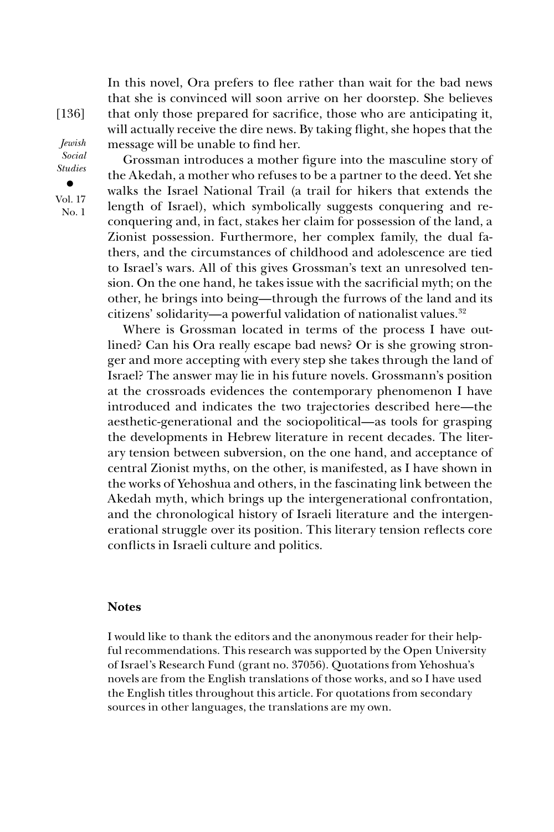In this novel, Ora prefers to flee rather than wait for the bad news that she is convinced will soon arrive on her doorstep. She believes that only those prepared for sacrifice, those who are anticipating it, will actually receive the dire news. By taking flight, she hopes that the message will be unable to find her.

Grossman introduces a mother figure into the masculine story of the Akedah, a mother who refuses to be a partner to the deed. Yet she walks the Israel National Trail (a trail for hikers that extends the length of Israel), which symbolically suggests conquering and reconquering and, in fact, stakes her claim for possession of the land, a Zionist possession. Furthermore, her complex family, the dual fathers, and the circumstances of childhood and adolescence are tied to Israel's wars. All of this gives Grossman's text an unresolved tension. On the one hand, he takes issue with the sacrificial myth; on the other, he brings into being—through the furrows of the land and its citizens' solidarity—a powerful validation of nationalist values.32

Where is Grossman located in terms of the process I have outlined? Can his Ora really escape bad news? Or is she growing stronger and more accepting with every step she takes through the land of Israel? The answer may lie in his future novels. Grossmann's position at the crossroads evidences the contemporary phenomenon I have introduced and indicates the two trajectories described here—the aesthetic-generational and the sociopolitical—as tools for grasping the developments in Hebrew literature in recent decades. The literary tension between subversion, on the one hand, and acceptance of central Zionist myths, on the other, is manifested, as I have shown in the works of Yehoshua and others, in the fascinating link between the Akedah myth, which brings up the intergenerational confrontation, and the chronological history of Israeli literature and the intergenerational struggle over its position. This literary tension reflects core conflicts in Israeli culture and politics.

### **Notes**

I would like to thank the editors and the anonymous reader for their helpful recommendations. This research was supported by the Open University of Israel's Research Fund (grant no. 37056). Quotations from Yehoshua's novels are from the English translations of those works, and so I have used the English titles throughout this article. For quotations from secondary sources in other languages, the translations are my own.

[136]

*Jewish Social Studies*

• Vol. 17 No. 1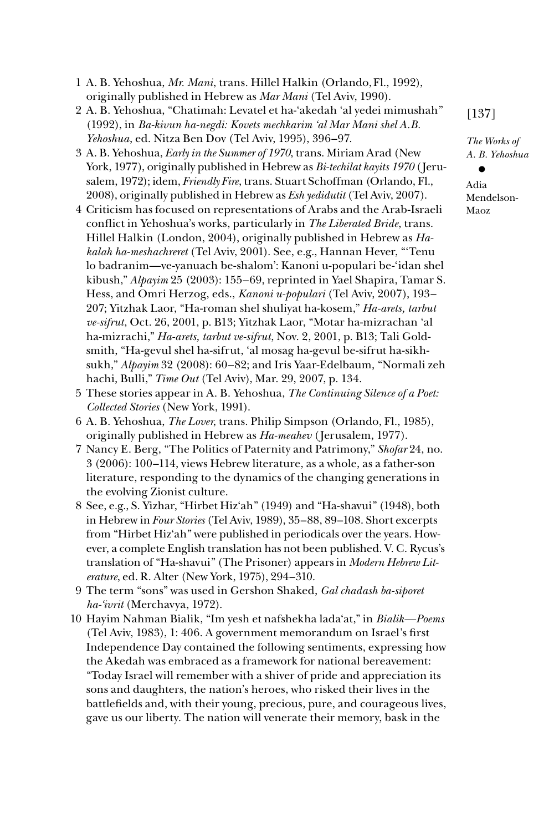- 1 A. B. Yehoshua, *Mr. Mani*, trans. Hillel Halkin (Orlando, Fl., 1992), originally published in Hebrew as *Mar Mani* (Tel Aviv, 1990).
- 2 A. B. Yehoshua, "Chatimah: Levatel et ha-'akedah 'al yedei mimushah" (1992), in *Ba-kivun ha-negdi: Kovets mechkarim 'al Mar Mani shel A.B. Yehoshua*, ed. Nitza Ben Dov (Tel Aviv, 1995), 396–97.
- 3 A. B. Yehoshua, *Early in the Summer of 1970*, trans. Miriam Arad (New York, 1977), originally published in Hebrew as *Bi-techilat kayits 1970* (Jerusalem, 1972); idem, *Friendly Fire*, trans. Stuart Schoffman (Orlando, Fl., 2008), originally published in Hebrew as *Esh yedidutit* (Tel Aviv, 2007).
- 4 Criticism has focused on representations of Arabs and the Arab-Israeli conflict in Yehoshua's works, particularly in *The Liberated Bride*, trans. Hillel Halkin (London, 2004), originally published in Hebrew as *Hakalah ha-meshachreret* (Tel Aviv, 2001). See, e.g., Hannan Hever, "'Tenu lo badranim—ve-yanuach be-shalom': Kanoni u-populari be-'idan shel kibush," *Alpayim* 25 (2003): 155–69, reprinted in Yael Shapira, Tamar S. Hess, and Omri Herzog, eds., *Kanoni u-populari* (Tel Aviv, 2007), 193– 207; Yitzhak Laor, "Ha-roman shel shuliyat ha-kosem," *Ha-arets, tarbut ve-sifrut*, Oct. 26, 2001, p. B13; Yitzhak Laor, "Motar ha-mizrachan 'al ha-mizrachi," *Ha-arets, tarbut ve-sifrut*, Nov. 2, 2001, p. B13; Tali Goldsmith, "Ha-gevul shel ha-sifrut, 'al mosag ha-gevul be-sifrut ha-sikhsukh," *Alpayim* 32 (2008): 60–82; and Iris Yaar-Edelbaum, "Normali zeh hachi, Bulli," *Time Out* (Tel Aviv), Mar. 29, 2007, p. 134.
- 5 These stories appear in A. B. Yehoshua, *The Continuing Silence of a Poet: Collected Stories* (New York, 1991).
- 6 A. B. Yehoshua, *The Lover*, trans. Philip Simpson (Orlando, Fl., 1985), originally published in Hebrew as *Ha-meahev* (Jerusalem, 1977).
- 7 Nancy E. Berg, "The Politics of Paternity and Patrimony," *Shofar* 24, no. 3 (2006): 100–114, views Hebrew literature, as a whole, as a father-son literature, responding to the dynamics of the changing generations in the evolving Zionist culture.
- 8 See, e.g., S. Yizhar, "Hirbet Hiz'ah" (1949) and "Ha-shavui" (1948), both in Hebrew in *Four Stories* (Tel Aviv, 1989), 35–88, 89–108. Short excerpts from "Hirbet Hiz'ah" were published in periodicals over the years. However, a complete English translation has not been published. V. C. Rycus's translation of "Ha-shavui" (The Prisoner) appears in *Modern Hebrew Literature*, ed. R. Alter (New York, 1975), 294–310.
- 9 The term "sons" was used in Gershon Shaked, *Gal chadash ba-siporet ha-'ivrit* (Merchavya, 1972).
- 10 Hayim Nahman Bialik, "Im yesh et nafshekha lada'at," in *Bialik—Poems* (Tel Aviv, 1983), 1: 406. A government memorandum on Israel's first Independence Day contained the following sentiments, expressing how the Akedah was embraced as a framework for national bereavement: "Today Israel will remember with a shiver of pride and appreciation its sons and daughters, the nation's heroes, who risked their lives in the battlefields and, with their young, precious, pure, and courageous lives, gave us our liberty. The nation will venerate their memory, bask in the

[137]

*The Works of A. B. Yehoshua*

• Adia Mendelson-

Maoz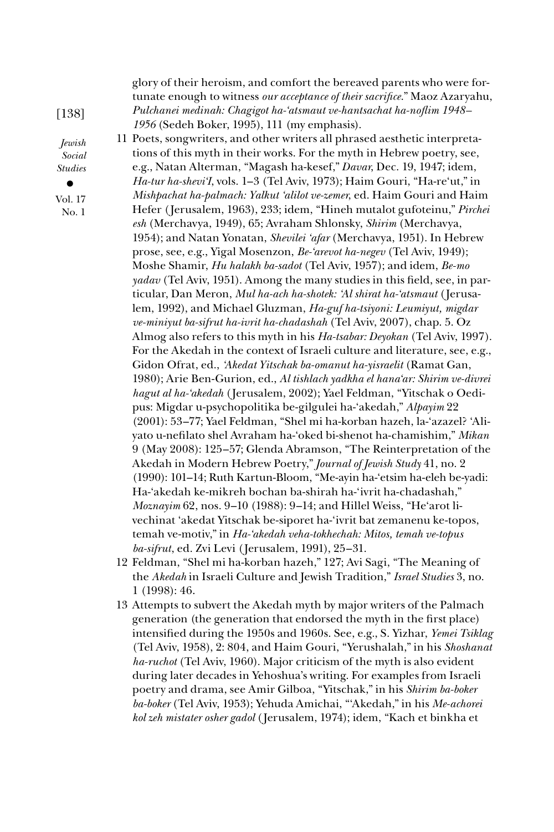[138]

*Jewish Social Studies*

• Vol. 17

No. 1

glory of their heroism, and comfort the bereaved parents who were fortunate enough to witness *our acceptance of their sacrifice*." Maoz Azaryahu, *Pulchanei medinah: Chagigot ha-'atsmaut ve-hantsachat ha-noflim 1948– 1956* (Sedeh Boker, 1995), 111 (my emphasis).

11 Poets, songwriters, and other writers all phrased aesthetic interpretations of this myth in their works. For the myth in Hebrew poetry, see, e.g., Natan Alterman, "Magash ha-kesef," *Davar*, Dec. 19, 1947; idem, *Ha-tur ha-shevi'I*, vols. 1–3 (Tel Aviv, 1973); Haim Gouri, "Ha-re'ut," in *Mishpachat ha-palmach: Yalkut 'alilot ve-zemer*, ed. Haim Gouri and Haim Hefer (Jerusalem, 1963), 233; idem, "Hineh mutalot gufoteinu," *Pirchei esh* (Merchavya, 1949), 65; Avraham Shlonsky, *Shirim* (Merchavya, 1954); and Natan Yonatan, *Shevilei 'afar* (Merchavya, 1951). In Hebrew prose, see, e.g., Yigal Mosenzon, *Be-'arevot ha-negev* (Tel Aviv, 1949); Moshe Shamir, *Hu halakh ba-sadot* (Tel Aviv, 1957); and idem, *Be-mo yadav* (Tel Aviv, 1951). Among the many studies in this field, see, in particular, Dan Meron, *Mul ha-ach ha-shotek: 'Al shirat ha-'atsmaut* (Jerusalem, 1992), and Michael Gluzman, *Ha-guf ha-tsiyoni: Leumiyut, migdar ve-miniyut ba-sifrut ha-ivrit ha-chadashah* (Tel Aviv, 2007), chap. 5. Oz Almog also refers to this myth in his *Ha-tsabar: Deyokan* (Tel Aviv, 1997). For the Akedah in the context of Israeli culture and literature, see, e.g., Gidon Ofrat, ed., *'Akedat Yitschak ba-omanut ha-yisraelit* (Ramat Gan, 1980); Arie Ben-Gurion, ed., *Al tishlach yadkha el hana'ar: Shirim ve-divrei hagut al ha-'akedah* (Jerusalem, 2002); Yael Feldman, "Yitschak o Oedipus: Migdar u-psychopolitika be-gilgulei ha-'akedah," *Alpayim* 22 (2001): 53–77; Yael Feldman, "Shel mi ha-korban hazeh, la-'azazel? 'Aliyato u-nefilato shel Avraham ha-'oked bi-shenot ha-chamishim," *Mikan* 9 (May 2008): 125–57; Glenda Abramson, "The Reinterpretation of the Akedah in Modern Hebrew Poetry," *Journal of Jewish Study* 41, no. 2 (1990): 101–14; Ruth Kartun-Bloom, "Me-ayin ha-'etsim ha-eleh be-yadi: Ha-'akedah ke-mikreh bochan ba-shirah ha-'ivrit ha-chadashah," *Moznayim* 62, nos. 9–10 (1988): 9–14; and Hillel Weiss, "He'arot livechinat 'akedat Yitschak be-siporet ha-'ivrit bat zemanenu ke-topos, temah ve-motiv," in *Ha-'akedah veha-tokhechah: Mitos, temah ve-topus ba-sifrut*, ed. Zvi Levi (Jerusalem, 1991), 25–31.

- 12 Feldman, "Shel mi ha-korban hazeh," 127; Avi Sagi, "The Meaning of the *Akedah* in Israeli Culture and Jewish Tradition," *Israel Studies* 3, no. 1 (1998): 46.
- 13 Attempts to subvert the Akedah myth by major writers of the Palmach generation (the generation that endorsed the myth in the first place) intensified during the 1950s and 1960s. See, e.g., S. Yizhar, *Yemei Tsiklag* (Tel Aviv, 1958), 2: 804, and Haim Gouri, "Yerushalah," in his *Shoshanat ha-ruchot* (Tel Aviv, 1960). Major criticism of the myth is also evident during later decades in Yehoshua's writing. For examples from Israeli poetry and drama, see Amir Gilboa, "Yitschak," in his *Shirim ba-boker ba-boker* (Tel Aviv, 1953); Yehuda Amichai, "'Akedah," in his *Me-achorei kol zeh mistater osher gadol* (Jerusalem, 1974); idem, "Kach et binkha et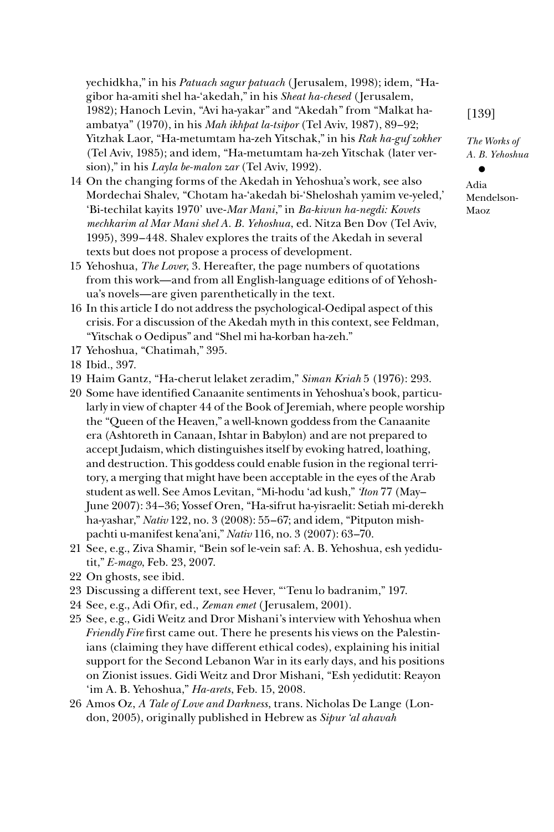yechidkha," in his *Patuach sagur patuach* (Jerusalem, 1998); idem, "Hagibor ha-amiti shel ha-'akedah," in his *Sheat ha-chesed* (Jerusalem, 1982); Hanoch Levin, "Avi ha-yakar" and "Akedah" from "Malkat haambatya" (1970), in his *Mah ikhpat la-tsipor* (Tel Aviv, 1987), 89–92; Yitzhak Laor, "Ha-metumtam ha-zeh Yitschak," in his *Rak ha-guf zokher* (Tel Aviv, 1985); and idem, "Ha-metumtam ha-zeh Yitschak (later version)," in his *Layla be-malon zar* (Tel Aviv, 1992).

- 14 On the changing forms of the Akedah in Yehoshua's work, see also Mordechai Shalev, "Chotam ha-'akedah bi-'Sheloshah yamim ve-yeled,' 'Bi-techilat kayits 1970' uve-*Mar Mani*," in *Ba-kivun ha-negdi: Kovets mechkarim al Mar Mani shel A. B. Yehoshua*, ed. Nitza Ben Dov (Tel Aviv, 1995), 399–448. Shalev explores the traits of the Akedah in several texts but does not propose a process of development.
- 15 Yehoshua, *The Lover*, 3. Hereafter, the page numbers of quotations from this work—and from all English-language editions of of Yehoshua's novels—are given parenthetically in the text.
- 16 In this article I do not address the psychological-Oedipal aspect of this crisis. For a discussion of the Akedah myth in this context, see Feldman, "Yitschak o Oedipus" and "Shel mi ha-korban ha-zeh."
- 17 Yehoshua, "Chatimah," 395.
- 18 Ibid., 397.
- 19 Haim Gantz, "Ha-cherut lelaket zeradim," *Siman Kriah* 5 (1976): 293.
- 20 Some have identified Canaanite sentiments in Yehoshua's book, particularly in view of chapter 44 of the Book of Jeremiah, where people worship the "Queen of the Heaven," a well-known goddess from the Canaanite era (Ashtoreth in Canaan, Ishtar in Babylon) and are not prepared to accept Judaism, which distinguishes itself by evoking hatred, loathing, and destruction. This goddess could enable fusion in the regional territory, a merging that might have been acceptable in the eyes of the Arab student as well. See Amos Levitan, "Mi-hodu 'ad kush," *'Iton* 77 (May– June 2007): 34–36; Yossef Oren, "Ha-sifrut ha-yisraelit: Setiah mi-derekh ha-yashar," *Nativ* 122, no. 3 (2008): 55–67; and idem, "Pitputon mishpachti u-manifest kena'ani," *Nativ* 116, no. 3 (2007): 63–70.
- 21 See, e.g., Ziva Shamir, "Bein sof le-vein saf: A. B. Yehoshua, esh yedidutit," *E-mago*, Feb. 23, 2007.
- 22 On ghosts, see ibid.
- 23 Discussing a different text, see Hever, "'Tenu lo badranim," 197.
- 24 See, e.g., Adi Ofir, ed., *Zeman emet* (Jerusalem, 2001).
- 25 See, e.g., Gidi Weitz and Dror Mishani's interview with Yehoshua when *Friendly Fire* first came out. There he presents his views on the Palestinians (claiming they have different ethical codes), explaining his initial support for the Second Lebanon War in its early days, and his positions on Zionist issues. Gidi Weitz and Dror Mishani, "Esh yedidutit: Reayon 'im A. B. Yehoshua," *Ha-arets*, Feb. 15, 2008.
- 26 Amos Oz, *A Tale of Love and Darkness*, trans. Nicholas De Lange (London, 2005), originally published in Hebrew as *Sipur 'al ahavah*

[139]

*The Works of A. B. Yehoshua*

## •